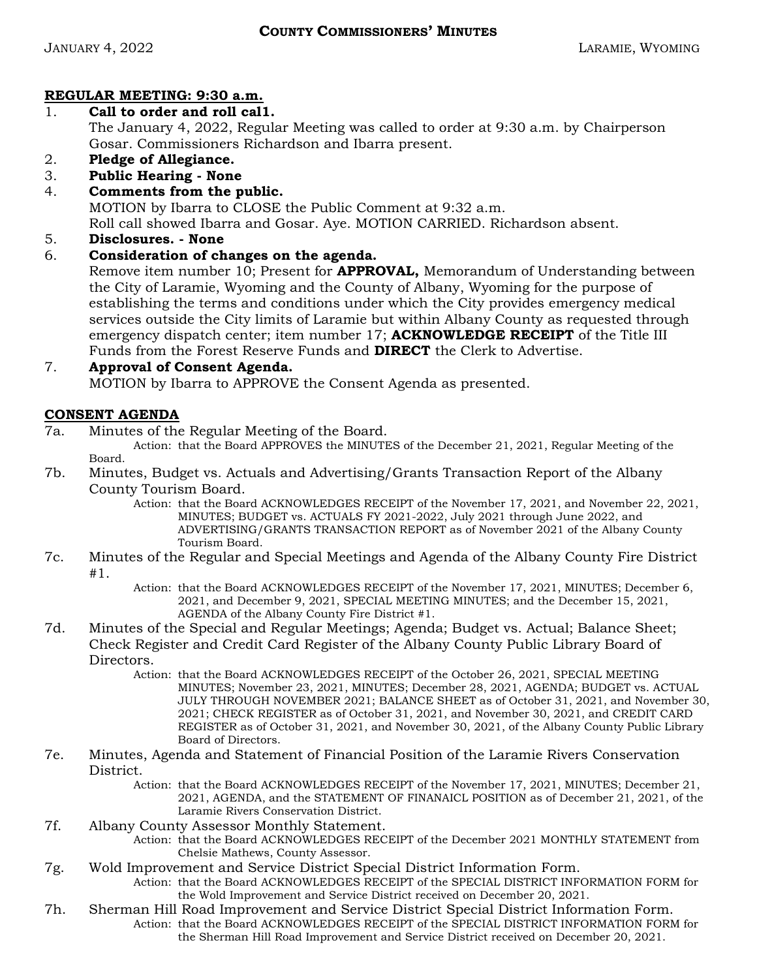# REGULAR MEETING: 9:30 a.m.

# 1. Call to order and roll cal1.

The January 4, 2022, Regular Meeting was called to order at 9:30 a.m. by Chairperson Gosar. Commissioners Richardson and Ibarra present.

- 2. Pledge of Allegiance.
- 3. Public Hearing None
- 4. Comments from the public.

MOTION by Ibarra to CLOSE the Public Comment at 9:32 a.m.

Roll call showed Ibarra and Gosar. Aye. MOTION CARRIED. Richardson absent.

5. Disclosures. - None

# 6. Consideration of changes on the agenda.

Remove item number 10; Present for **APPROVAL**, Memorandum of Understanding between the City of Laramie, Wyoming and the County of Albany, Wyoming for the purpose of establishing the terms and conditions under which the City provides emergency medical services outside the City limits of Laramie but within Albany County as requested through emergency dispatch center; item number 17; **ACKNOWLEDGE RECEIPT** of the Title III Funds from the Forest Reserve Funds and DIRECT the Clerk to Advertise.

# 7. Approval of Consent Agenda. MOTION by Ibarra to APPROVE the Consent Agenda as presented.

# CONSENT AGENDA

7a. Minutes of the Regular Meeting of the Board.

Action: that the Board APPROVES the MINUTES of the December 21, 2021, Regular Meeting of the Board.

7b. Minutes, Budget vs. Actuals and Advertising/Grants Transaction Report of the Albany County Tourism Board.

Action: that the Board ACKNOWLEDGES RECEIPT of the November 17, 2021, and November 22, 2021, MINUTES; BUDGET vs. ACTUALS FY 2021-2022, July 2021 through June 2022, and ADVERTISING/GRANTS TRANSACTION REPORT as of November 2021 of the Albany County Tourism Board.

- 7c. Minutes of the Regular and Special Meetings and Agenda of the Albany County Fire District #1.
	- Action: that the Board ACKNOWLEDGES RECEIPT of the November 17, 2021, MINUTES; December 6, 2021, and December 9, 2021, SPECIAL MEETING MINUTES; and the December 15, 2021, AGENDA of the Albany County Fire District #1.
- 7d. Minutes of the Special and Regular Meetings; Agenda; Budget vs. Actual; Balance Sheet; Check Register and Credit Card Register of the Albany County Public Library Board of Directors.
	- Action: that the Board ACKNOWLEDGES RECEIPT of the October 26, 2021, SPECIAL MEETING MINUTES; November 23, 2021, MINUTES; December 28, 2021, AGENDA; BUDGET vs. ACTUAL JULY THROUGH NOVEMBER 2021; BALANCE SHEET as of October 31, 2021, and November 30, 2021; CHECK REGISTER as of October 31, 2021, and November 30, 2021, and CREDIT CARD REGISTER as of October 31, 2021, and November 30, 2021, of the Albany County Public Library Board of Directors.
- 7e. Minutes, Agenda and Statement of Financial Position of the Laramie Rivers Conservation District.
	- Action: that the Board ACKNOWLEDGES RECEIPT of the November 17, 2021, MINUTES; December 21, 2021, AGENDA, and the STATEMENT OF FINANAICL POSITION as of December 21, 2021, of the Laramie Rivers Conservation District.
- 7f. Albany County Assessor Monthly Statement.
	- Action: that the Board ACKNOWLEDGES RECEIPT of the December 2021 MONTHLY STATEMENT from Chelsie Mathews, County Assessor.
- 7g. Wold Improvement and Service District Special District Information Form.
	- Action: that the Board ACKNOWLEDGES RECEIPT of the SPECIAL DISTRICT INFORMATION FORM for the Wold Improvement and Service District received on December 20, 2021.
- 7h. Sherman Hill Road Improvement and Service District Special District Information Form. Action: that the Board ACKNOWLEDGES RECEIPT of the SPECIAL DISTRICT INFORMATION FORM for the Sherman Hill Road Improvement and Service District received on December 20, 2021.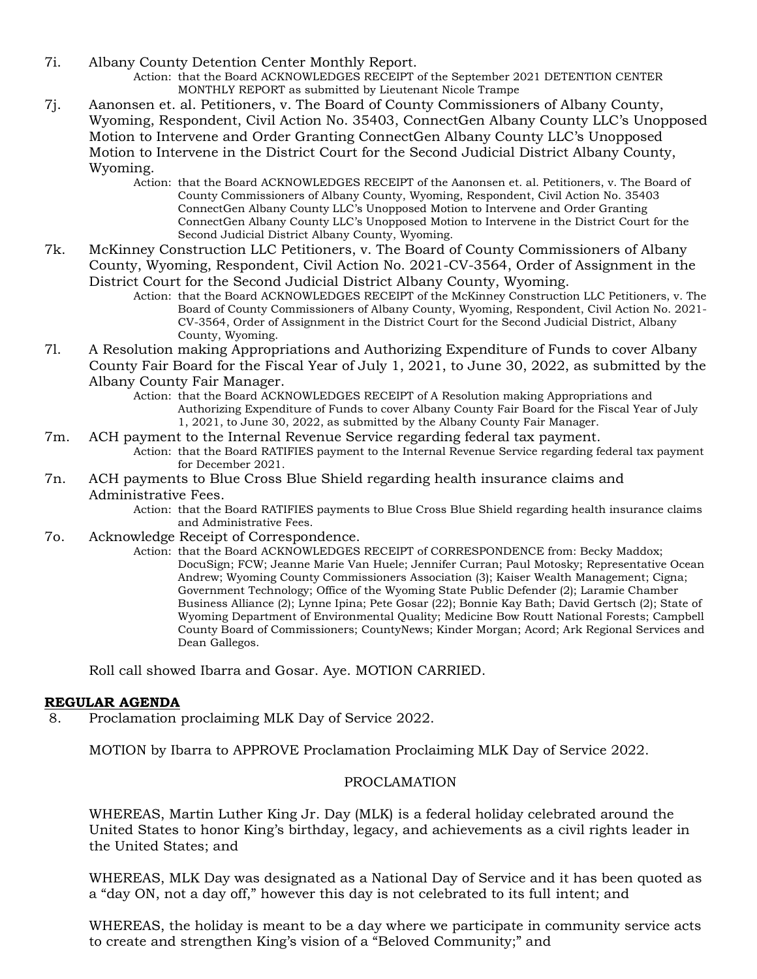- 7i. Albany County Detention Center Monthly Report.
	- Action: that the Board ACKNOWLEDGES RECEIPT of the September 2021 DETENTION CENTER MONTHLY REPORT as submitted by Lieutenant Nicole Trampe
- 7j. Aanonsen et. al. Petitioners, v. The Board of County Commissioners of Albany County, Wyoming, Respondent, Civil Action No. 35403, ConnectGen Albany County LLC's Unopposed Motion to Intervene and Order Granting ConnectGen Albany County LLC's Unopposed Motion to Intervene in the District Court for the Second Judicial District Albany County, Wyoming.
	- Action: that the Board ACKNOWLEDGES RECEIPT of the Aanonsen et. al. Petitioners, v. The Board of County Commissioners of Albany County, Wyoming, Respondent, Civil Action No. 35403 ConnectGen Albany County LLC's Unopposed Motion to Intervene and Order Granting ConnectGen Albany County LLC's Unopposed Motion to Intervene in the District Court for the Second Judicial District Albany County, Wyoming.
- 7k. McKinney Construction LLC Petitioners, v. The Board of County Commissioners of Albany County, Wyoming, Respondent, Civil Action No. 2021-CV-3564, Order of Assignment in the District Court for the Second Judicial District Albany County, Wyoming.
	- Action: that the Board ACKNOWLEDGES RECEIPT of the McKinney Construction LLC Petitioners, v. The Board of County Commissioners of Albany County, Wyoming, Respondent, Civil Action No. 2021- CV-3564, Order of Assignment in the District Court for the Second Judicial District, Albany County, Wyoming.
- 7l. A Resolution making Appropriations and Authorizing Expenditure of Funds to cover Albany County Fair Board for the Fiscal Year of July 1, 2021, to June 30, 2022, as submitted by the Albany County Fair Manager.
	- Action: that the Board ACKNOWLEDGES RECEIPT of A Resolution making Appropriations and Authorizing Expenditure of Funds to cover Albany County Fair Board for the Fiscal Year of July 1, 2021, to June 30, 2022, as submitted by the Albany County Fair Manager.
- 7m. ACH payment to the Internal Revenue Service regarding federal tax payment.
	- Action: that the Board RATIFIES payment to the Internal Revenue Service regarding federal tax payment for December 2021.
- 7n. ACH payments to Blue Cross Blue Shield regarding health insurance claims and Administrative Fees.
	- Action: that the Board RATIFIES payments to Blue Cross Blue Shield regarding health insurance claims and Administrative Fees.
- 7o. Acknowledge Receipt of Correspondence.
	- Action: that the Board ACKNOWLEDGES RECEIPT of CORRESPONDENCE from: Becky Maddox; DocuSign; FCW; Jeanne Marie Van Huele; Jennifer Curran; Paul Motosky; Representative Ocean Andrew; Wyoming County Commissioners Association (3); Kaiser Wealth Management; Cigna; Government Technology; Office of the Wyoming State Public Defender (2); Laramie Chamber Business Alliance (2); Lynne Ipina; Pete Gosar (22); Bonnie Kay Bath; David Gertsch (2); State of Wyoming Department of Environmental Quality; Medicine Bow Routt National Forests; Campbell County Board of Commissioners; CountyNews; Kinder Morgan; Acord; Ark Regional Services and Dean Gallegos.

Roll call showed Ibarra and Gosar. Aye. MOTION CARRIED.

#### REGULAR AGENDA

8. Proclamation proclaiming MLK Day of Service 2022.

MOTION by Ibarra to APPROVE Proclamation Proclaiming MLK Day of Service 2022.

#### PROCLAMATION

WHEREAS, Martin Luther King Jr. Day (MLK) is a federal holiday celebrated around the United States to honor King's birthday, legacy, and achievements as a civil rights leader in the United States; and

WHEREAS, MLK Day was designated as a National Day of Service and it has been quoted as a "day ON, not a day off," however this day is not celebrated to its full intent; and

WHEREAS, the holiday is meant to be a day where we participate in community service acts to create and strengthen King's vision of a "Beloved Community;" and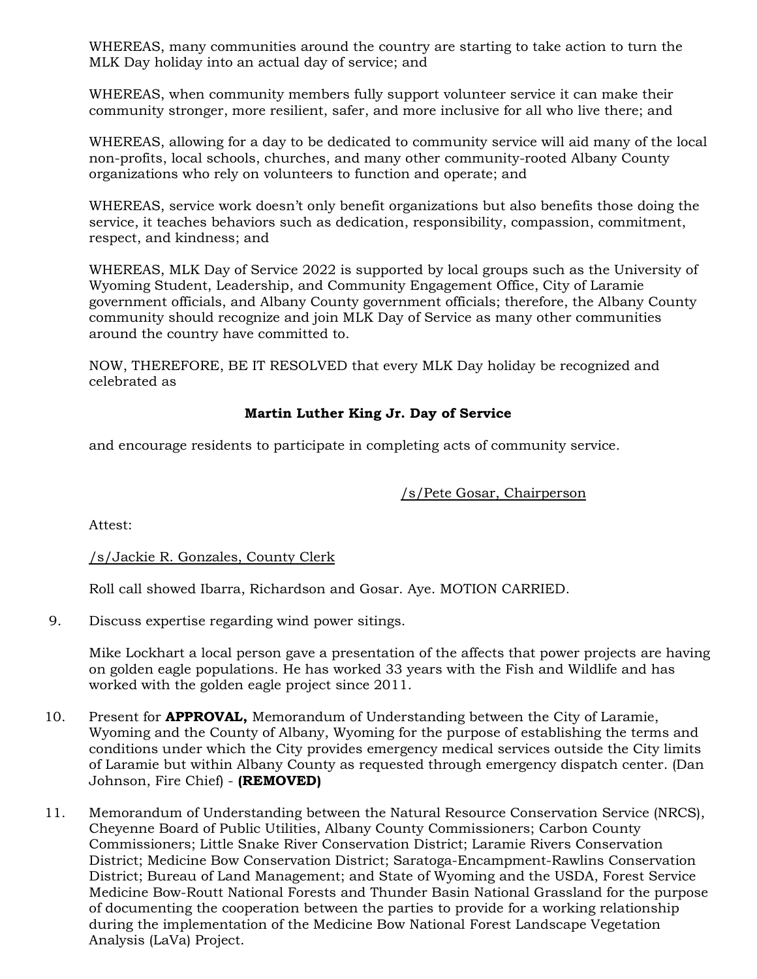WHEREAS, many communities around the country are starting to take action to turn the MLK Day holiday into an actual day of service; and

WHEREAS, when community members fully support volunteer service it can make their community stronger, more resilient, safer, and more inclusive for all who live there; and

WHEREAS, allowing for a day to be dedicated to community service will aid many of the local non-profits, local schools, churches, and many other community-rooted Albany County organizations who rely on volunteers to function and operate; and

WHEREAS, service work doesn't only benefit organizations but also benefits those doing the service, it teaches behaviors such as dedication, responsibility, compassion, commitment, respect, and kindness; and

WHEREAS, MLK Day of Service 2022 is supported by local groups such as the University of Wyoming Student, Leadership, and Community Engagement Office, City of Laramie government officials, and Albany County government officials; therefore, the Albany County community should recognize and join MLK Day of Service as many other communities around the country have committed to.

NOW, THEREFORE, BE IT RESOLVED that every MLK Day holiday be recognized and celebrated as

## Martin Luther King Jr. Day of Service

and encourage residents to participate in completing acts of community service.

## /s/Pete Gosar, Chairperson

Attest:

## /s/Jackie R. Gonzales, County Clerk

Roll call showed Ibarra, Richardson and Gosar. Aye. MOTION CARRIED.

9. Discuss expertise regarding wind power sitings.

Mike Lockhart a local person gave a presentation of the affects that power projects are having on golden eagle populations. He has worked 33 years with the Fish and Wildlife and has worked with the golden eagle project since 2011.

- 10. Present for **APPROVAL**, Memorandum of Understanding between the City of Laramie, Wyoming and the County of Albany, Wyoming for the purpose of establishing the terms and conditions under which the City provides emergency medical services outside the City limits of Laramie but within Albany County as requested through emergency dispatch center. (Dan Johnson, Fire Chief) - (REMOVED)
- 11. Memorandum of Understanding between the Natural Resource Conservation Service (NRCS), Cheyenne Board of Public Utilities, Albany County Commissioners; Carbon County Commissioners; Little Snake River Conservation District; Laramie Rivers Conservation District; Medicine Bow Conservation District; Saratoga-Encampment-Rawlins Conservation District; Bureau of Land Management; and State of Wyoming and the USDA, Forest Service Medicine Bow-Routt National Forests and Thunder Basin National Grassland for the purpose of documenting the cooperation between the parties to provide for a working relationship during the implementation of the Medicine Bow National Forest Landscape Vegetation Analysis (LaVa) Project.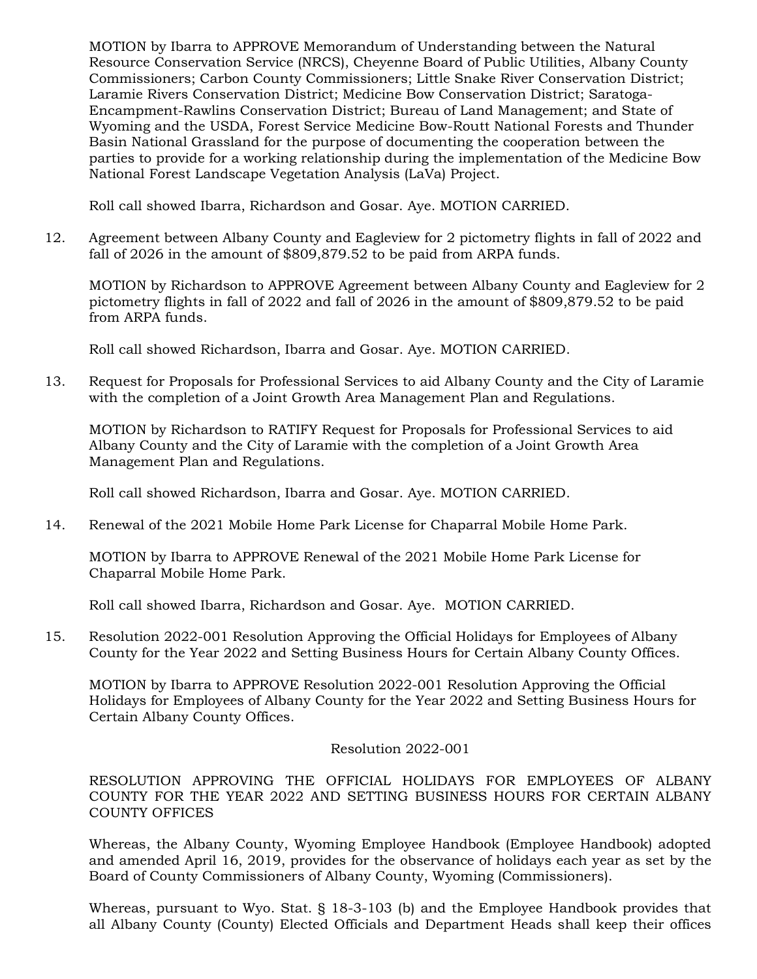MOTION by Ibarra to APPROVE Memorandum of Understanding between the Natural Resource Conservation Service (NRCS), Cheyenne Board of Public Utilities, Albany County Commissioners; Carbon County Commissioners; Little Snake River Conservation District; Laramie Rivers Conservation District; Medicine Bow Conservation District; Saratoga-Encampment-Rawlins Conservation District; Bureau of Land Management; and State of Wyoming and the USDA, Forest Service Medicine Bow-Routt National Forests and Thunder Basin National Grassland for the purpose of documenting the cooperation between the parties to provide for a working relationship during the implementation of the Medicine Bow National Forest Landscape Vegetation Analysis (LaVa) Project.

Roll call showed Ibarra, Richardson and Gosar. Aye. MOTION CARRIED.

12. Agreement between Albany County and Eagleview for 2 pictometry flights in fall of 2022 and fall of 2026 in the amount of \$809,879.52 to be paid from ARPA funds.

 MOTION by Richardson to APPROVE Agreement between Albany County and Eagleview for 2 pictometry flights in fall of 2022 and fall of 2026 in the amount of \$809,879.52 to be paid from ARPA funds.

Roll call showed Richardson, Ibarra and Gosar. Aye. MOTION CARRIED.

13. Request for Proposals for Professional Services to aid Albany County and the City of Laramie with the completion of a Joint Growth Area Management Plan and Regulations.

 MOTION by Richardson to RATIFY Request for Proposals for Professional Services to aid Albany County and the City of Laramie with the completion of a Joint Growth Area Management Plan and Regulations.

Roll call showed Richardson, Ibarra and Gosar. Aye. MOTION CARRIED.

14. Renewal of the 2021 Mobile Home Park License for Chaparral Mobile Home Park.

 MOTION by Ibarra to APPROVE Renewal of the 2021 Mobile Home Park License for Chaparral Mobile Home Park.

Roll call showed Ibarra, Richardson and Gosar. Aye. MOTION CARRIED.

15. Resolution 2022-001 Resolution Approving the Official Holidays for Employees of Albany County for the Year 2022 and Setting Business Hours for Certain Albany County Offices.

 MOTION by Ibarra to APPROVE Resolution 2022-001 Resolution Approving the Official Holidays for Employees of Albany County for the Year 2022 and Setting Business Hours for Certain Albany County Offices.

Resolution 2022-001

RESOLUTION APPROVING THE OFFICIAL HOLIDAYS FOR EMPLOYEES OF ALBANY COUNTY FOR THE YEAR 2022 AND SETTING BUSINESS HOURS FOR CERTAIN ALBANY COUNTY OFFICES

Whereas, the Albany County, Wyoming Employee Handbook (Employee Handbook) adopted and amended April 16, 2019, provides for the observance of holidays each year as set by the Board of County Commissioners of Albany County, Wyoming (Commissioners).

Whereas, pursuant to Wyo. Stat. § 18-3-103 (b) and the Employee Handbook provides that all Albany County (County) Elected Officials and Department Heads shall keep their offices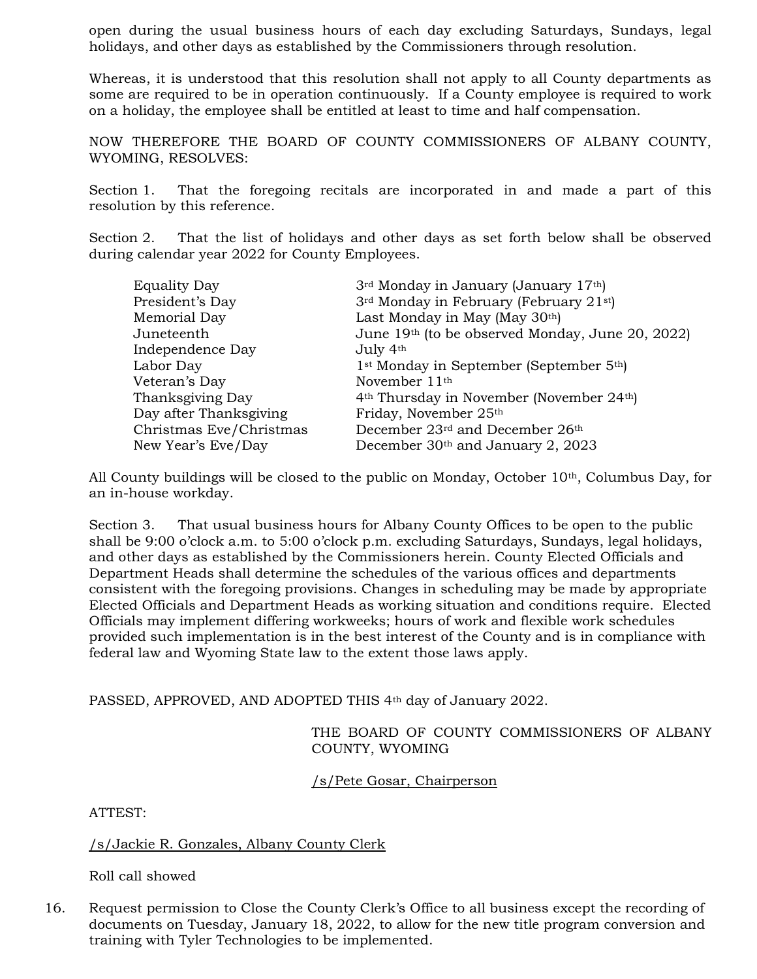open during the usual business hours of each day excluding Saturdays, Sundays, legal holidays, and other days as established by the Commissioners through resolution.

Whereas, it is understood that this resolution shall not apply to all County departments as some are required to be in operation continuously. If a County employee is required to work on a holiday, the employee shall be entitled at least to time and half compensation.

NOW THEREFORE THE BOARD OF COUNTY COMMISSIONERS OF ALBANY COUNTY, WYOMING, RESOLVES:

Section 1. That the foregoing recitals are incorporated in and made a part of this resolution by this reference.

Section 2. That the list of holidays and other days as set forth below shall be observed during calendar year 2022 for County Employees.

| <b>Equality Day</b>     | 3 <sup>rd</sup> Monday in January (January 17 <sup>th</sup> )     |
|-------------------------|-------------------------------------------------------------------|
| President's Day         | 3 <sup>rd</sup> Monday in February (February 21 <sup>st)</sup>    |
| Memorial Day            | Last Monday in May (May 30th)                                     |
| Juneteenth              | June 19th (to be observed Monday, June 20, 2022)                  |
| Independence Day        | July 4th                                                          |
| Labor Day               | 1 <sup>st</sup> Monday in September (September 5 <sup>th</sup> )  |
| Veteran's Day           | November 11 <sup>th</sup>                                         |
| Thanksgiving Day        | 4 <sup>th</sup> Thursday in November (November 24 <sup>th</sup> ) |
| Day after Thanksgiving  | Friday, November 25th                                             |
| Christmas Eve/Christmas | December 23rd and December 26th                                   |
| New Year's Eve/Day      | December 30th and January 2, 2023                                 |

All County buildings will be closed to the public on Monday, October  $10<sup>th</sup>$ , Columbus Day, for an in-house workday.

Section 3. That usual business hours for Albany County Offices to be open to the public shall be 9:00 o'clock a.m. to 5:00 o'clock p.m. excluding Saturdays, Sundays, legal holidays, and other days as established by the Commissioners herein. County Elected Officials and Department Heads shall determine the schedules of the various offices and departments consistent with the foregoing provisions. Changes in scheduling may be made by appropriate Elected Officials and Department Heads as working situation and conditions require. Elected Officials may implement differing workweeks; hours of work and flexible work schedules provided such implementation is in the best interest of the County and is in compliance with federal law and Wyoming State law to the extent those laws apply.

PASSED, APPROVED, AND ADOPTED THIS 4<sup>th</sup> day of January 2022.

THE BOARD OF COUNTY COMMISSIONERS OF ALBANY COUNTY, WYOMING

/s/Pete Gosar, Chairperson

ATTEST:

/s/Jackie R. Gonzales, Albany County Clerk

Roll call showed

16. Request permission to Close the County Clerk's Office to all business except the recording of documents on Tuesday, January 18, 2022, to allow for the new title program conversion and training with Tyler Technologies to be implemented.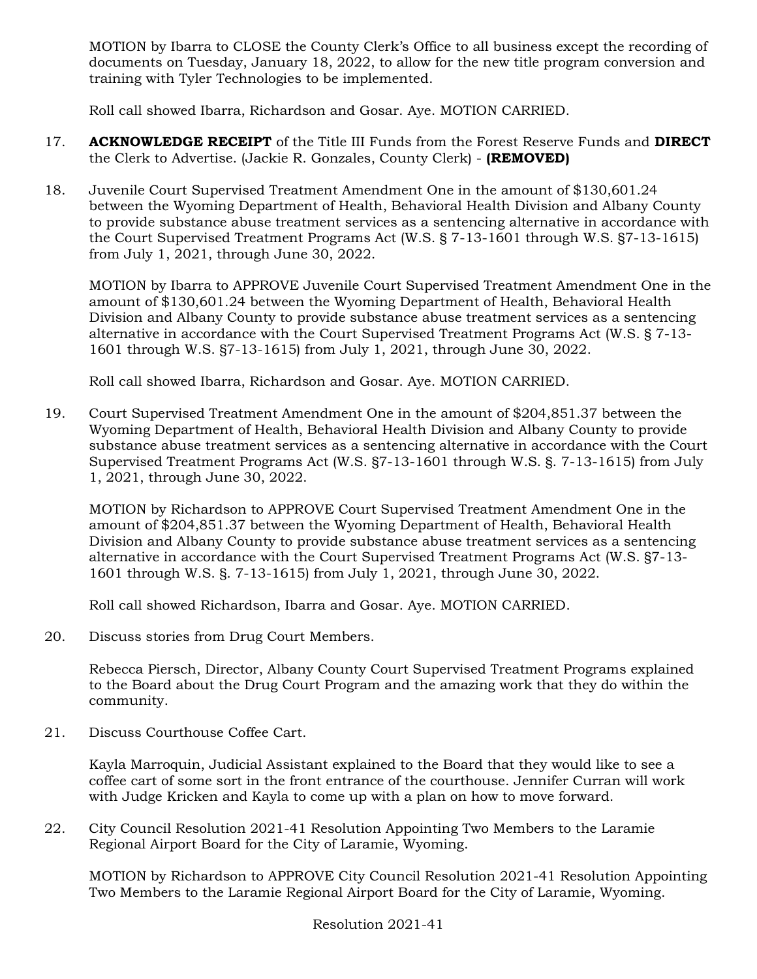MOTION by Ibarra to CLOSE the County Clerk's Office to all business except the recording of documents on Tuesday, January 18, 2022, to allow for the new title program conversion and training with Tyler Technologies to be implemented.

Roll call showed Ibarra, Richardson and Gosar. Aye. MOTION CARRIED.

- 17. **ACKNOWLEDGE RECEIPT** of the Title III Funds from the Forest Reserve Funds and DIRECT the Clerk to Advertise. (Jackie R. Gonzales, County Clerk) - (REMOVED)
- 18. Juvenile Court Supervised Treatment Amendment One in the amount of \$130,601.24 between the Wyoming Department of Health, Behavioral Health Division and Albany County to provide substance abuse treatment services as a sentencing alternative in accordance with the Court Supervised Treatment Programs Act (W.S. § 7-13-1601 through W.S. §7-13-1615) from July 1, 2021, through June 30, 2022.

 MOTION by Ibarra to APPROVE Juvenile Court Supervised Treatment Amendment One in the amount of \$130,601.24 between the Wyoming Department of Health, Behavioral Health Division and Albany County to provide substance abuse treatment services as a sentencing alternative in accordance with the Court Supervised Treatment Programs Act (W.S. § 7-13- 1601 through W.S. §7-13-1615) from July 1, 2021, through June 30, 2022.

Roll call showed Ibarra, Richardson and Gosar. Aye. MOTION CARRIED.

19. Court Supervised Treatment Amendment One in the amount of \$204,851.37 between the Wyoming Department of Health, Behavioral Health Division and Albany County to provide substance abuse treatment services as a sentencing alternative in accordance with the Court Supervised Treatment Programs Act (W.S. §7-13-1601 through W.S. §. 7-13-1615) from July 1, 2021, through June 30, 2022.

 MOTION by Richardson to APPROVE Court Supervised Treatment Amendment One in the amount of \$204,851.37 between the Wyoming Department of Health, Behavioral Health Division and Albany County to provide substance abuse treatment services as a sentencing alternative in accordance with the Court Supervised Treatment Programs Act (W.S. §7-13- 1601 through W.S. §. 7-13-1615) from July 1, 2021, through June 30, 2022.

Roll call showed Richardson, Ibarra and Gosar. Aye. MOTION CARRIED.

20. Discuss stories from Drug Court Members.

Rebecca Piersch, Director, Albany County Court Supervised Treatment Programs explained to the Board about the Drug Court Program and the amazing work that they do within the community.

21. Discuss Courthouse Coffee Cart.

Kayla Marroquin, Judicial Assistant explained to the Board that they would like to see a coffee cart of some sort in the front entrance of the courthouse. Jennifer Curran will work with Judge Kricken and Kayla to come up with a plan on how to move forward.

22. City Council Resolution 2021-41 Resolution Appointing Two Members to the Laramie Regional Airport Board for the City of Laramie, Wyoming.

 MOTION by Richardson to APPROVE City Council Resolution 2021-41 Resolution Appointing Two Members to the Laramie Regional Airport Board for the City of Laramie, Wyoming.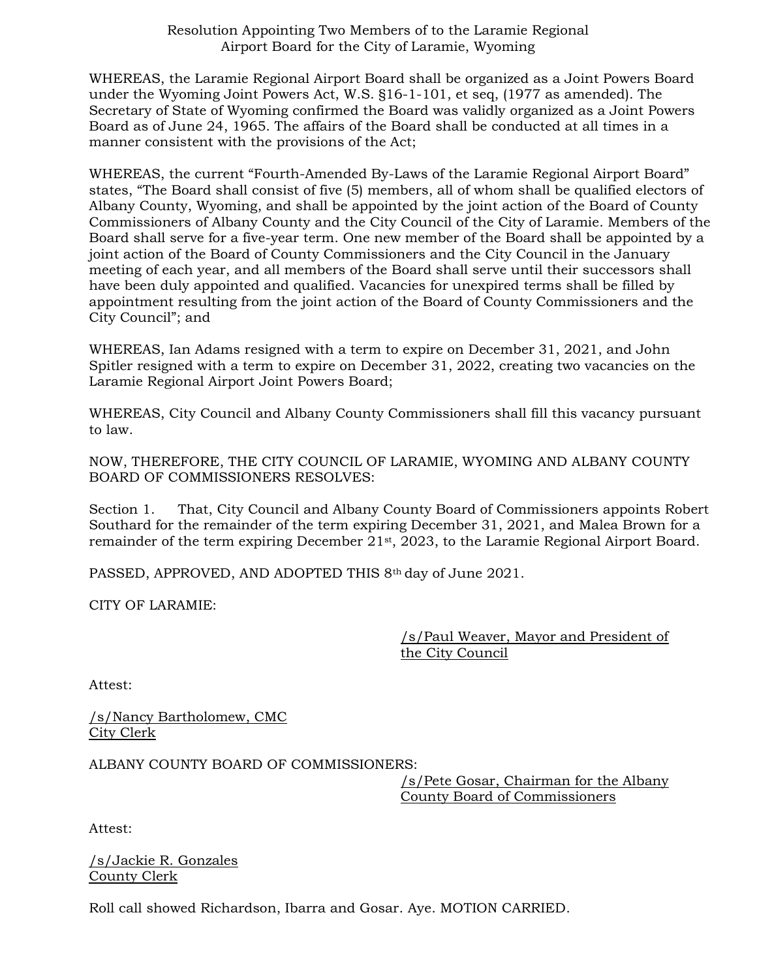#### Resolution Appointing Two Members of to the Laramie Regional Airport Board for the City of Laramie, Wyoming

WHEREAS, the Laramie Regional Airport Board shall be organized as a Joint Powers Board under the Wyoming Joint Powers Act, W.S. §16-1-101, et seq, (1977 as amended). The Secretary of State of Wyoming confirmed the Board was validly organized as a Joint Powers Board as of June 24, 1965. The affairs of the Board shall be conducted at all times in a manner consistent with the provisions of the Act;

WHEREAS, the current "Fourth-Amended By-Laws of the Laramie Regional Airport Board" states, "The Board shall consist of five (5) members, all of whom shall be qualified electors of Albany County, Wyoming, and shall be appointed by the joint action of the Board of County Commissioners of Albany County and the City Council of the City of Laramie. Members of the Board shall serve for a five-year term. One new member of the Board shall be appointed by a joint action of the Board of County Commissioners and the City Council in the January meeting of each year, and all members of the Board shall serve until their successors shall have been duly appointed and qualified. Vacancies for unexpired terms shall be filled by appointment resulting from the joint action of the Board of County Commissioners and the City Council"; and

WHEREAS, Ian Adams resigned with a term to expire on December 31, 2021, and John Spitler resigned with a term to expire on December 31, 2022, creating two vacancies on the Laramie Regional Airport Joint Powers Board;

WHEREAS, City Council and Albany County Commissioners shall fill this vacancy pursuant to law.

NOW, THEREFORE, THE CITY COUNCIL OF LARAMIE, WYOMING AND ALBANY COUNTY BOARD OF COMMISSIONERS RESOLVES:

Section 1. That, City Council and Albany County Board of Commissioners appoints Robert Southard for the remainder of the term expiring December 31, 2021, and Malea Brown for a remainder of the term expiring December 21<sup>st</sup>, 2023, to the Laramie Regional Airport Board.

PASSED, APPROVED, AND ADOPTED THIS 8<sup>th</sup> day of June 2021.

CITY OF LARAMIE:

/s/Paul Weaver, Mayor and President of the City Council

Attest:

/s/Nancy Bartholomew, CMC City Clerk

ALBANY COUNTY BOARD OF COMMISSIONERS:

/s/Pete Gosar, Chairman for the Albany County Board of Commissioners

Attest:

/s/Jackie R. Gonzales County Clerk

Roll call showed Richardson, Ibarra and Gosar. Aye. MOTION CARRIED.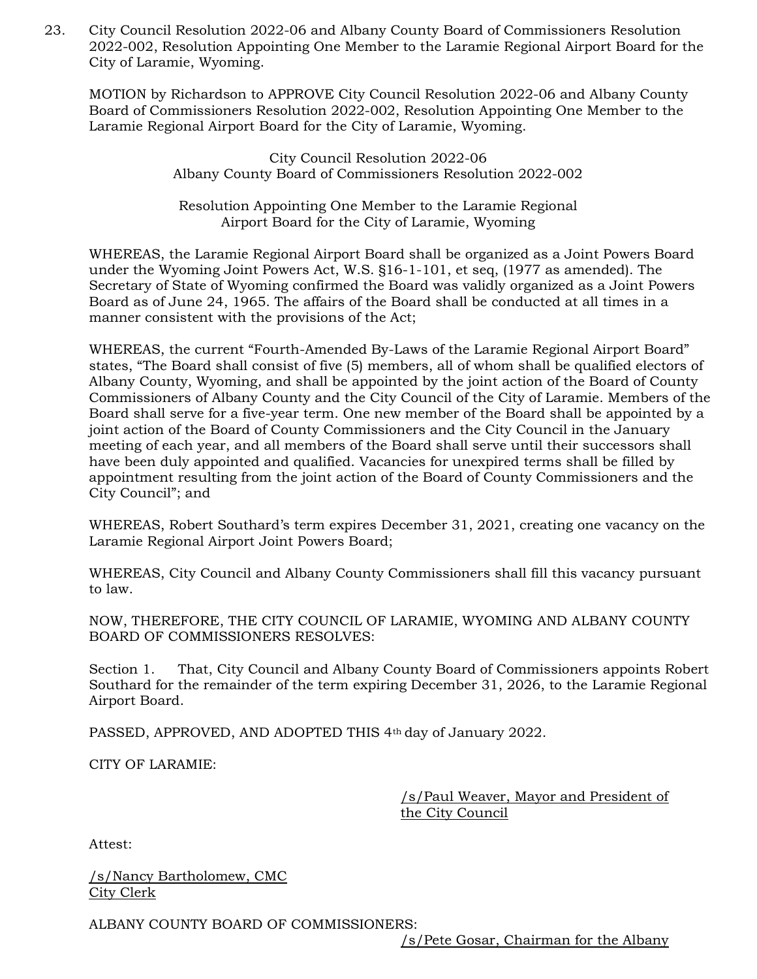23. City Council Resolution 2022-06 and Albany County Board of Commissioners Resolution 2022-002, Resolution Appointing One Member to the Laramie Regional Airport Board for the City of Laramie, Wyoming.

 MOTION by Richardson to APPROVE City Council Resolution 2022-06 and Albany County Board of Commissioners Resolution 2022-002, Resolution Appointing One Member to the Laramie Regional Airport Board for the City of Laramie, Wyoming.

> City Council Resolution 2022-06 Albany County Board of Commissioners Resolution 2022-002

Resolution Appointing One Member to the Laramie Regional Airport Board for the City of Laramie, Wyoming

WHEREAS, the Laramie Regional Airport Board shall be organized as a Joint Powers Board under the Wyoming Joint Powers Act, W.S. §16-1-101, et seq, (1977 as amended). The Secretary of State of Wyoming confirmed the Board was validly organized as a Joint Powers Board as of June 24, 1965. The affairs of the Board shall be conducted at all times in a manner consistent with the provisions of the Act;

WHEREAS, the current "Fourth-Amended By-Laws of the Laramie Regional Airport Board" states, "The Board shall consist of five (5) members, all of whom shall be qualified electors of Albany County, Wyoming, and shall be appointed by the joint action of the Board of County Commissioners of Albany County and the City Council of the City of Laramie. Members of the Board shall serve for a five-year term. One new member of the Board shall be appointed by a joint action of the Board of County Commissioners and the City Council in the January meeting of each year, and all members of the Board shall serve until their successors shall have been duly appointed and qualified. Vacancies for unexpired terms shall be filled by appointment resulting from the joint action of the Board of County Commissioners and the City Council"; and

WHEREAS, Robert Southard's term expires December 31, 2021, creating one vacancy on the Laramie Regional Airport Joint Powers Board;

WHEREAS, City Council and Albany County Commissioners shall fill this vacancy pursuant to law.

NOW, THEREFORE, THE CITY COUNCIL OF LARAMIE, WYOMING AND ALBANY COUNTY BOARD OF COMMISSIONERS RESOLVES:

Section 1. That, City Council and Albany County Board of Commissioners appoints Robert Southard for the remainder of the term expiring December 31, 2026, to the Laramie Regional Airport Board.

PASSED, APPROVED, AND ADOPTED THIS 4<sup>th</sup> day of January 2022.

CITY OF LARAMIE:

/s/Paul Weaver, Mayor and President of the City Council

Attest:

/s/Nancy Bartholomew, CMC City Clerk

ALBANY COUNTY BOARD OF COMMISSIONERS:

/s/Pete Gosar, Chairman for the Albany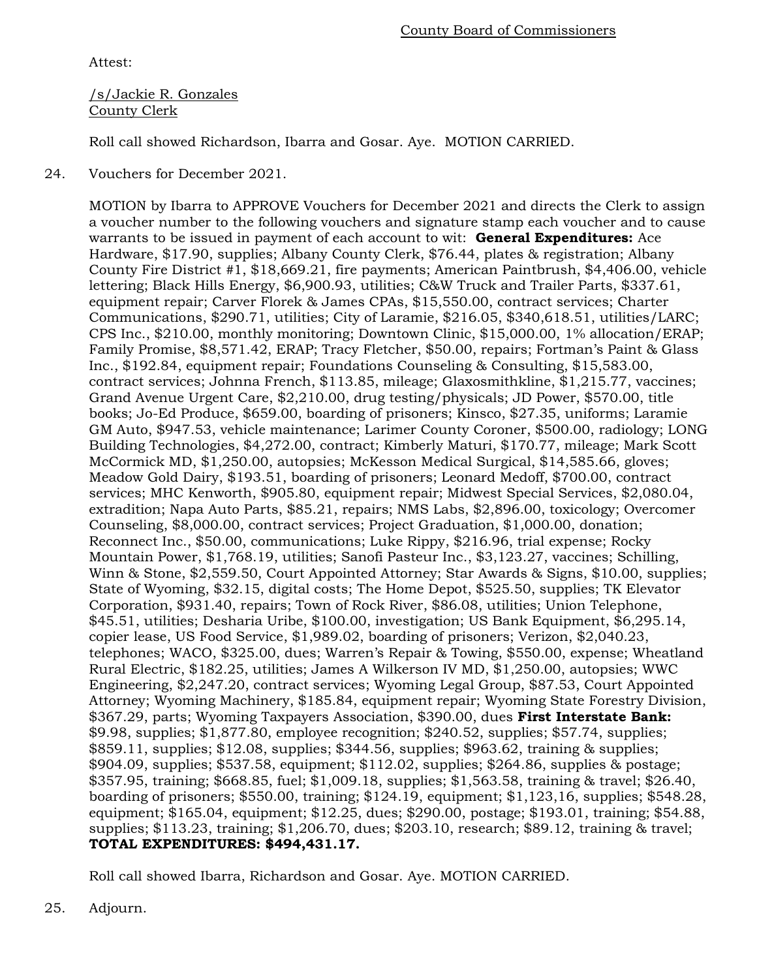Attest:

/s/Jackie R. Gonzales County Clerk

Roll call showed Richardson, Ibarra and Gosar. Aye. MOTION CARRIED.

24. Vouchers for December 2021.

MOTION by Ibarra to APPROVE Vouchers for December 2021 and directs the Clerk to assign a voucher number to the following vouchers and signature stamp each voucher and to cause warrants to be issued in payment of each account to wit: General Expenditures: Ace Hardware, \$17.90, supplies; Albany County Clerk, \$76.44, plates & registration; Albany County Fire District #1, \$18,669.21, fire payments; American Paintbrush, \$4,406.00, vehicle lettering; Black Hills Energy, \$6,900.93, utilities; C&W Truck and Trailer Parts, \$337.61, equipment repair; Carver Florek & James CPAs, \$15,550.00, contract services; Charter Communications, \$290.71, utilities; City of Laramie, \$216.05, \$340,618.51, utilities/LARC; CPS Inc., \$210.00, monthly monitoring; Downtown Clinic, \$15,000.00, 1% allocation/ERAP; Family Promise, \$8,571.42, ERAP; Tracy Fletcher, \$50.00, repairs; Fortman's Paint & Glass Inc., \$192.84, equipment repair; Foundations Counseling & Consulting, \$15,583.00, contract services; Johnna French, \$113.85, mileage; Glaxosmithkline, \$1,215.77, vaccines; Grand Avenue Urgent Care, \$2,210.00, drug testing/physicals; JD Power, \$570.00, title books; Jo-Ed Produce, \$659.00, boarding of prisoners; Kinsco, \$27.35, uniforms; Laramie GM Auto, \$947.53, vehicle maintenance; Larimer County Coroner, \$500.00, radiology; LONG Building Technologies, \$4,272.00, contract; Kimberly Maturi, \$170.77, mileage; Mark Scott McCormick MD, \$1,250.00, autopsies; McKesson Medical Surgical, \$14,585.66, gloves; Meadow Gold Dairy, \$193.51, boarding of prisoners; Leonard Medoff, \$700.00, contract services; MHC Kenworth, \$905.80, equipment repair; Midwest Special Services, \$2,080.04, extradition; Napa Auto Parts, \$85.21, repairs; NMS Labs, \$2,896.00, toxicology; Overcomer Counseling, \$8,000.00, contract services; Project Graduation, \$1,000.00, donation; Reconnect Inc., \$50.00, communications; Luke Rippy, \$216.96, trial expense; Rocky Mountain Power, \$1,768.19, utilities; Sanofi Pasteur Inc., \$3,123.27, vaccines; Schilling, Winn & Stone, \$2,559.50, Court Appointed Attorney; Star Awards & Signs, \$10.00, supplies; State of Wyoming, \$32.15, digital costs; The Home Depot, \$525.50, supplies; TK Elevator Corporation, \$931.40, repairs; Town of Rock River, \$86.08, utilities; Union Telephone, \$45.51, utilities; Desharia Uribe, \$100.00, investigation; US Bank Equipment, \$6,295.14, copier lease, US Food Service, \$1,989.02, boarding of prisoners; Verizon, \$2,040.23, telephones; WACO, \$325.00, dues; Warren's Repair & Towing, \$550.00, expense; Wheatland Rural Electric, \$182.25, utilities; James A Wilkerson IV MD, \$1,250.00, autopsies; WWC Engineering, \$2,247.20, contract services; Wyoming Legal Group, \$87.53, Court Appointed Attorney; Wyoming Machinery, \$185.84, equipment repair; Wyoming State Forestry Division, \$367.29, parts; Wyoming Taxpayers Association, \$390.00, dues First Interstate Bank: \$9.98, supplies; \$1,877.80, employee recognition; \$240.52, supplies; \$57.74, supplies; \$859.11, supplies; \$12.08, supplies; \$344.56, supplies; \$963.62, training & supplies; \$904.09, supplies; \$537.58, equipment; \$112.02, supplies; \$264.86, supplies & postage; \$357.95, training; \$668.85, fuel; \$1,009.18, supplies; \$1,563.58, training & travel; \$26.40, boarding of prisoners; \$550.00, training; \$124.19, equipment; \$1,123,16, supplies; \$548.28, equipment; \$165.04, equipment; \$12.25, dues; \$290.00, postage; \$193.01, training; \$54.88, supplies; \$113.23, training; \$1,206.70, dues; \$203.10, research; \$89.12, training & travel; TOTAL EXPENDITURES: \$494,431.17.

Roll call showed Ibarra, Richardson and Gosar. Aye. MOTION CARRIED.

25. Adjourn.